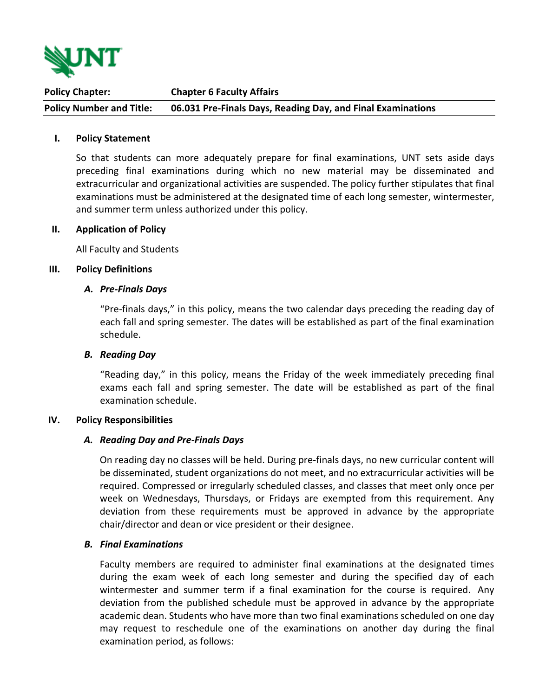

**Policy Chapter: Chapter 6 Faculty Affairs Policy Number and Title: 06.031 Pre-Finals Days, Reading Day, and Final Examinations**

## **I. Policy Statement**

So that students can more adequately prepare for final examinations, UNT sets aside days preceding final examinations during which no new material may be disseminated and extracurricular and organizational activities are suspended. The policy further stipulates that final examinations must be administered at the designated time of each long semester, wintermester, and summer term unless authorized under this policy.

### **II. Application of Policy**

All Faculty and Students

### **III. Policy Definitions**

### *A. Pre-Finals Days*

"Pre-finals days," in this policy, means the two calendar days preceding the reading day of each fall and spring semester. The dates will be established as part of the final examination schedule.

### *B. Reading Day*

"Reading day," in this policy, means the Friday of the week immediately preceding final exams each fall and spring semester. The date will be established as part of the final examination schedule.

### **IV. Policy Responsibilities**

### *A. Reading Day and Pre-Finals Days*

On reading day no classes will be held. During pre-finals days, no new curricular content will be disseminated, student organizations do not meet, and no extracurricular activities will be required. Compressed or irregularly scheduled classes, and classes that meet only once per week on Wednesdays, Thursdays, or Fridays are exempted from this requirement. Any deviation from these requirements must be approved in advance by the appropriate chair/director and dean or vice president or their designee.

### *B. Final Examinations*

Faculty members are required to administer final examinations at the designated times during the exam week of each long semester and during the specified day of each wintermester and summer term if a final examination for the course is required. Any deviation from the published schedule must be approved in advance by the appropriate academic dean. Students who have more than two final examinations scheduled on one day may request to reschedule one of the examinations on another day during the final examination period, as follows: